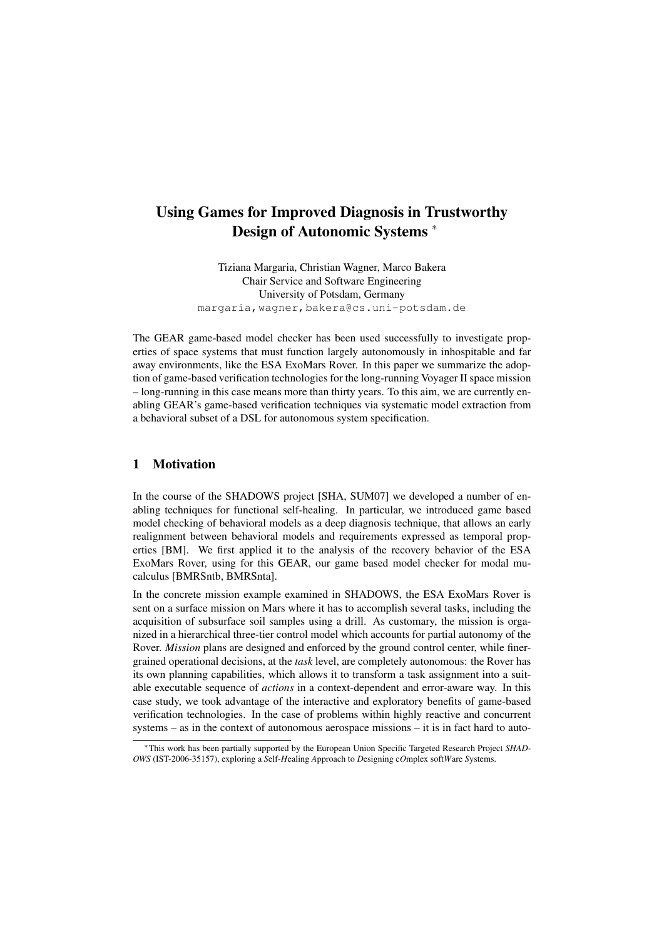# Using Games for Improved Diagnosis in Trustworthy Design of Autonomic Systems <sup>∗</sup>

Tiziana Margaria, Christian Wagner, Marco Bakera Chair Service and Software Engineering University of Potsdam, Germany margaria,wagner,bakera@cs.uni-potsdam.de

The GEAR game-based model checker has been used successfully to investigate properties of space systems that must function largely autonomously in inhospitable and far away environments, like the ESA ExoMars Rover. In this paper we summarize the adoption of game-based verification technologies for the long-running Voyager II space mission – long-running in this case means more than thirty years. To this aim, we are currently enabling GEAR's game-based verification techniques via systematic model extraction from a behavioral subset of a DSL for autonomous system specification.

## 1 Motivation

In the course of the SHADOWS project [SHA, SUM07] we developed a number of enabling techniques for functional self-healing. In particular, we introduced game based model checking of behavioral models as a deep diagnosis technique, that allows an early realignment between behavioral models and requirements expressed as temporal properties [BM]. We first applied it to the analysis of the recovery behavior of the ESA ExoMars Rover, using for this GEAR, our game based model checker for modal mucalculus [BMRSntb, BMRSnta].

In the concrete mission example examined in SHADOWS, the ESA ExoMars Rover is sent on a surface mission on Mars where it has to accomplish several tasks, including the acquisition of subsurface soil samples using a drill. As customary, the mission is organized in a hierarchical three-tier control model which accounts for partial autonomy of the Rover. *Mission* plans are designed and enforced by the ground control center, while finergrained operational decisions, at the *task* level, are completely autonomous: the Rover has its own planning capabilities, which allows it to transform a task assignment into a suitable executable sequence of *actions* in a context-dependent and error-aware way. In this case study, we took advantage of the interactive and exploratory benefits of game-based verification technologies. In the case of problems within highly reactive and concurrent systems – as in the context of autonomous aerospace missions – it is in fact hard to auto-

<sup>∗</sup>This work has been partially supported by the European Union Specific Targeted Research Project *SHAD-OWS* (IST-2006-35157), exploring a *S*elf-*H*ealing *A*pproach to *D*esigning c*O*mplex soft*W*are *S*ystems.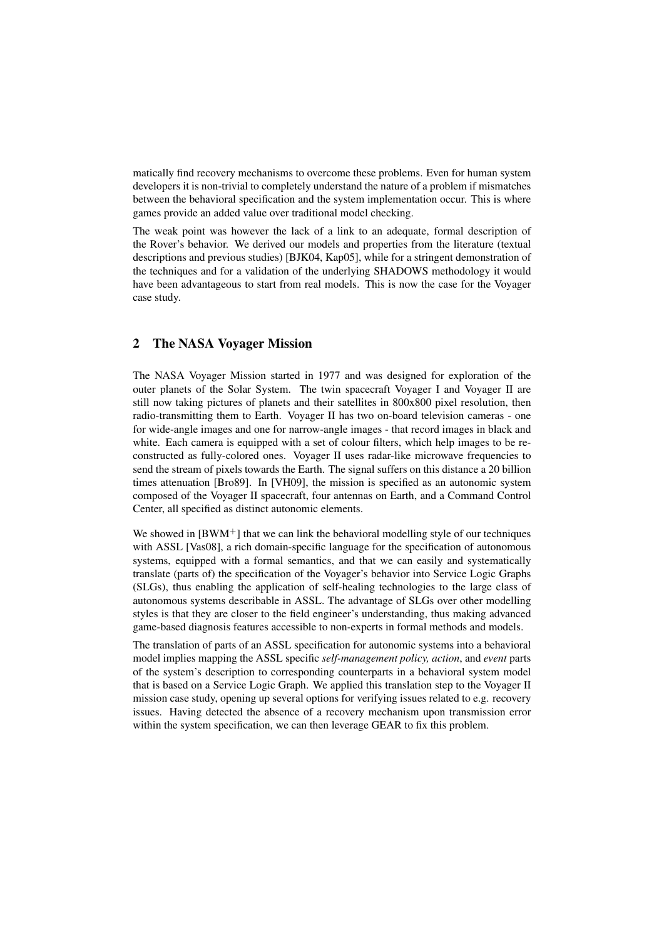matically find recovery mechanisms to overcome these problems. Even for human system developers it is non-trivial to completely understand the nature of a problem if mismatches between the behavioral specification and the system implementation occur. This is where games provide an added value over traditional model checking.

The weak point was however the lack of a link to an adequate, formal description of the Rover's behavior. We derived our models and properties from the literature (textual descriptions and previous studies) [BJK04, Kap05], while for a stringent demonstration of the techniques and for a validation of the underlying SHADOWS methodology it would have been advantageous to start from real models. This is now the case for the Voyager case study.

### 2 The NASA Voyager Mission

The NASA Voyager Mission started in 1977 and was designed for exploration of the outer planets of the Solar System. The twin spacecraft Voyager I and Voyager II are still now taking pictures of planets and their satellites in 800x800 pixel resolution, then radio-transmitting them to Earth. Voyager II has two on-board television cameras - one for wide-angle images and one for narrow-angle images - that record images in black and white. Each camera is equipped with a set of colour filters, which help images to be reconstructed as fully-colored ones. Voyager II uses radar-like microwave frequencies to send the stream of pixels towards the Earth. The signal suffers on this distance a 20 billion times attenuation [Bro89]. In [VH09], the mission is specified as an autonomic system composed of the Voyager II spacecraft, four antennas on Earth, and a Command Control Center, all specified as distinct autonomic elements.

We showed in  $[BWM^+]$  that we can link the behavioral modelling style of our techniques with ASSL [Vas08], a rich domain-specific language for the specification of autonomous systems, equipped with a formal semantics, and that we can easily and systematically translate (parts of) the specification of the Voyager's behavior into Service Logic Graphs (SLGs), thus enabling the application of self-healing technologies to the large class of autonomous systems describable in ASSL. The advantage of SLGs over other modelling styles is that they are closer to the field engineer's understanding, thus making advanced game-based diagnosis features accessible to non-experts in formal methods and models.

The translation of parts of an ASSL specification for autonomic systems into a behavioral model implies mapping the ASSL specific *self-management policy, action*, and *event* parts of the system's description to corresponding counterparts in a behavioral system model that is based on a Service Logic Graph. We applied this translation step to the Voyager II mission case study, opening up several options for verifying issues related to e.g. recovery issues. Having detected the absence of a recovery mechanism upon transmission error within the system specification, we can then leverage GEAR to fix this problem.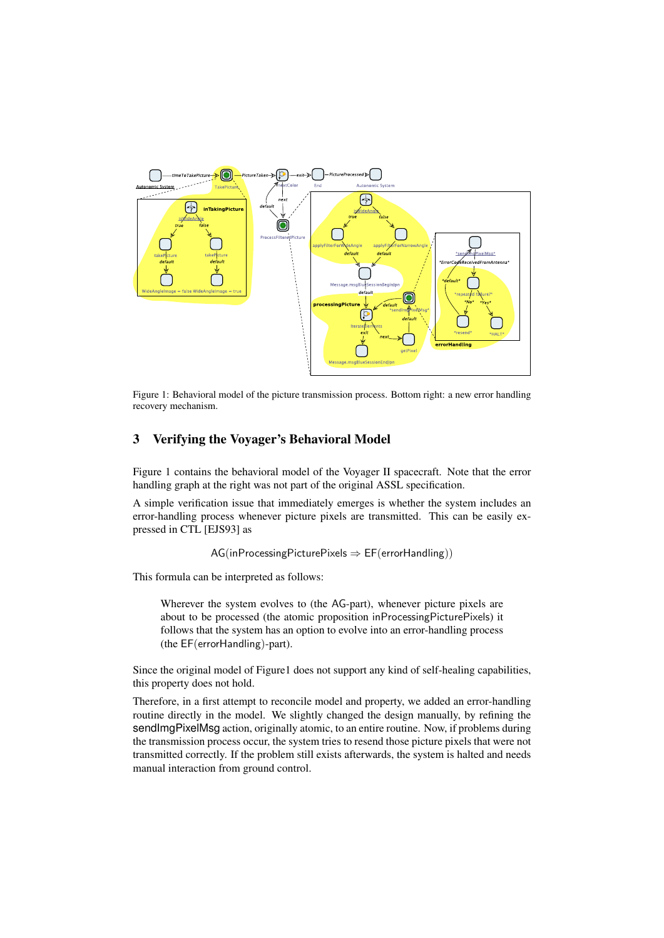

Figure 1: Behavioral model of the picture transmission process. Bottom right: a new error handling recovery mechanism.

## 3 Verifying the Voyager's Behavioral Model

Figure 1 contains the behavioral model of the Voyager II spacecraft. Note that the error handling graph at the right was not part of the original ASSL specification.

A simple verification issue that immediately emerges is whether the system includes an error-handling process whenever picture pixels are transmitted. This can be easily expressed in CTL [EJS93] as

```
AG(inProcessingPicturePixels \Rightarrow EF(errorHandling))
```
This formula can be interpreted as follows:

Wherever the system evolves to (the AG-part), whenever picture pixels are about to be processed (the atomic proposition inProcessingPicturePixels) it follows that the system has an option to evolve into an error-handling process (the EF(errorHandling)-part).

Since the original model of Figure1 does not support any kind of self-healing capabilities, this property does not hold.

Therefore, in a first attempt to reconcile model and property, we added an error-handling routine directly in the model. We slightly changed the design manually, by refining the sendImgPixelMsg action, originally atomic, to an entire routine. Now, if problems during the transmission process occur, the system tries to resend those picture pixels that were not transmitted correctly. If the problem still exists afterwards, the system is halted and needs manual interaction from ground control.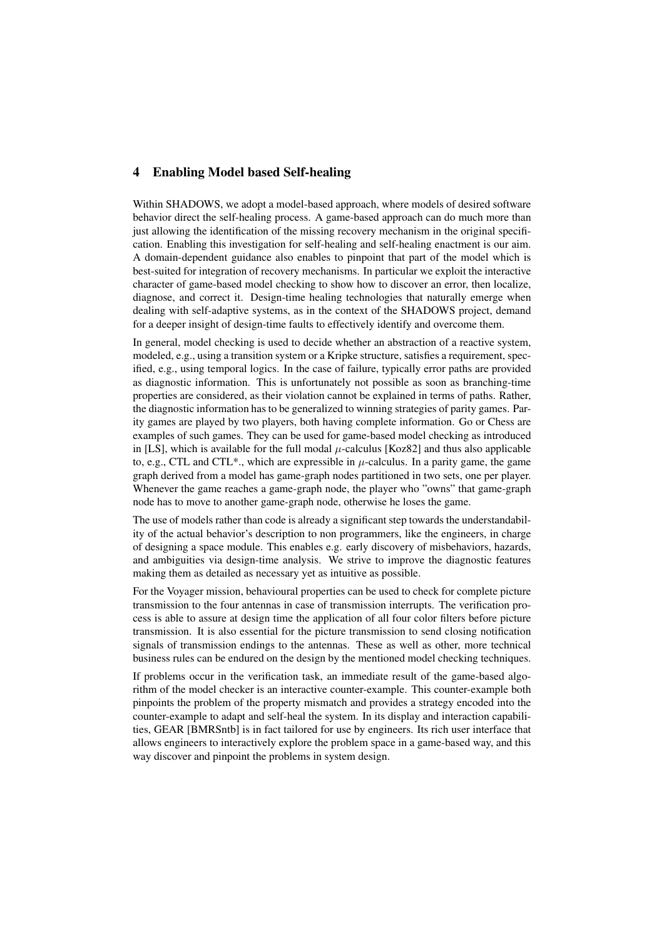## 4 Enabling Model based Self-healing

Within SHADOWS, we adopt a model-based approach, where models of desired software behavior direct the self-healing process. A game-based approach can do much more than just allowing the identification of the missing recovery mechanism in the original specification. Enabling this investigation for self-healing and self-healing enactment is our aim. A domain-dependent guidance also enables to pinpoint that part of the model which is best-suited for integration of recovery mechanisms. In particular we exploit the interactive character of game-based model checking to show how to discover an error, then localize, diagnose, and correct it. Design-time healing technologies that naturally emerge when dealing with self-adaptive systems, as in the context of the SHADOWS project, demand for a deeper insight of design-time faults to effectively identify and overcome them.

In general, model checking is used to decide whether an abstraction of a reactive system, modeled, e.g., using a transition system or a Kripke structure, satisfies a requirement, specified, e.g., using temporal logics. In the case of failure, typically error paths are provided as diagnostic information. This is unfortunately not possible as soon as branching-time properties are considered, as their violation cannot be explained in terms of paths. Rather, the diagnostic information has to be generalized to winning strategies of parity games. Parity games are played by two players, both having complete information. Go or Chess are examples of such games. They can be used for game-based model checking as introduced in [LS], which is available for the full modal  $\mu$ -calculus [Koz82] and thus also applicable to, e.g., CTL and CTL\*., which are expressible in  $\mu$ -calculus. In a parity game, the game graph derived from a model has game-graph nodes partitioned in two sets, one per player. Whenever the game reaches a game-graph node, the player who "owns" that game-graph node has to move to another game-graph node, otherwise he loses the game.

The use of models rather than code is already a significant step towards the understandability of the actual behavior's description to non programmers, like the engineers, in charge of designing a space module. This enables e.g. early discovery of misbehaviors, hazards, and ambiguities via design-time analysis. We strive to improve the diagnostic features making them as detailed as necessary yet as intuitive as possible.

For the Voyager mission, behavioural properties can be used to check for complete picture transmission to the four antennas in case of transmission interrupts. The verification process is able to assure at design time the application of all four color filters before picture transmission. It is also essential for the picture transmission to send closing notification signals of transmission endings to the antennas. These as well as other, more technical business rules can be endured on the design by the mentioned model checking techniques.

If problems occur in the verification task, an immediate result of the game-based algorithm of the model checker is an interactive counter-example. This counter-example both pinpoints the problem of the property mismatch and provides a strategy encoded into the counter-example to adapt and self-heal the system. In its display and interaction capabilities, GEAR [BMRSntb] is in fact tailored for use by engineers. Its rich user interface that allows engineers to interactively explore the problem space in a game-based way, and this way discover and pinpoint the problems in system design.